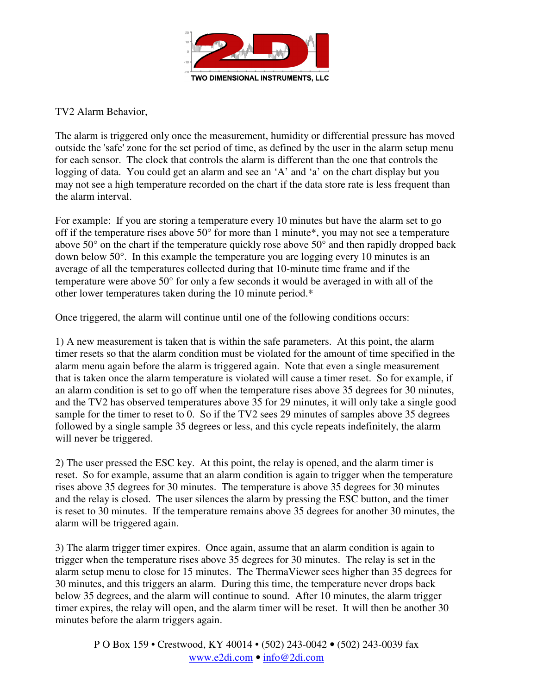

TV2 Alarm Behavior,

The alarm is triggered only once the measurement, humidity or differential pressure has moved outside the 'safe' zone for the set period of time, as defined by the user in the alarm setup menu for each sensor. The clock that controls the alarm is different than the one that controls the logging of data. You could get an alarm and see an 'A' and 'a' on the chart display but you may not see a high temperature recorded on the chart if the data store rate is less frequent than the alarm interval.

For example: If you are storing a temperature every 10 minutes but have the alarm set to go off if the temperature rises above  $50^{\circ}$  for more than 1 minute\*, you may not see a temperature above 50° on the chart if the temperature quickly rose above 50° and then rapidly dropped back down below 50°. In this example the temperature you are logging every 10 minutes is an average of all the temperatures collected during that 10-minute time frame and if the temperature were above 50° for only a few seconds it would be averaged in with all of the other lower temperatures taken during the 10 minute period.\*

Once triggered, the alarm will continue until one of the following conditions occurs:

1) A new measurement is taken that is within the safe parameters. At this point, the alarm timer resets so that the alarm condition must be violated for the amount of time specified in the alarm menu again before the alarm is triggered again. Note that even a single measurement that is taken once the alarm temperature is violated will cause a timer reset. So for example, if an alarm condition is set to go off when the temperature rises above 35 degrees for 30 minutes, and the TV2 has observed temperatures above 35 for 29 minutes, it will only take a single good sample for the timer to reset to 0. So if the TV2 sees 29 minutes of samples above 35 degrees followed by a single sample 35 degrees or less, and this cycle repeats indefinitely, the alarm will never be triggered.

2) The user pressed the ESC key. At this point, the relay is opened, and the alarm timer is reset. So for example, assume that an alarm condition is again to trigger when the temperature rises above 35 degrees for 30 minutes. The temperature is above 35 degrees for 30 minutes and the relay is closed. The user silences the alarm by pressing the ESC button, and the timer is reset to 30 minutes. If the temperature remains above 35 degrees for another 30 minutes, the alarm will be triggered again.

3) The alarm trigger timer expires. Once again, assume that an alarm condition is again to trigger when the temperature rises above 35 degrees for 30 minutes. The relay is set in the alarm setup menu to close for 15 minutes. The ThermaViewer sees higher than 35 degrees for 30 minutes, and this triggers an alarm. During this time, the temperature never drops back below 35 degrees, and the alarm will continue to sound. After 10 minutes, the alarm trigger timer expires, the relay will open, and the alarm timer will be reset. It will then be another 30 minutes before the alarm triggers again.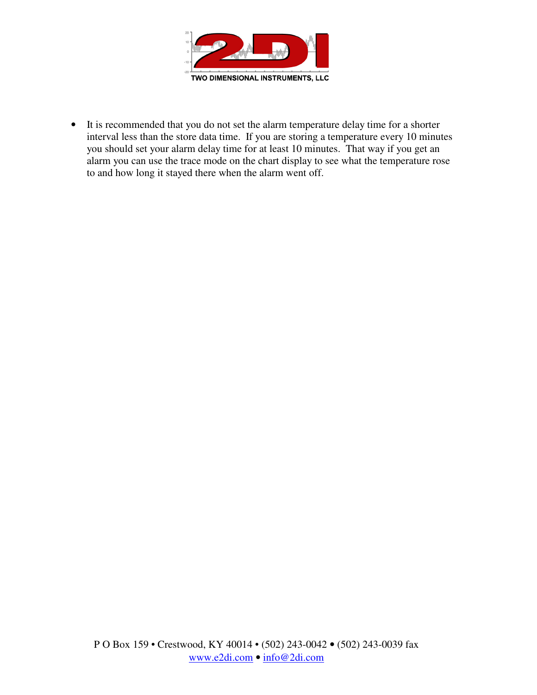

• It is recommended that you do not set the alarm temperature delay time for a shorter interval less than the store data time. If you are storing a temperature every 10 minutes you should set your alarm delay time for at least 10 minutes. That way if you get an alarm you can use the trace mode on the chart display to see what the temperature rose to and how long it stayed there when the alarm went off.